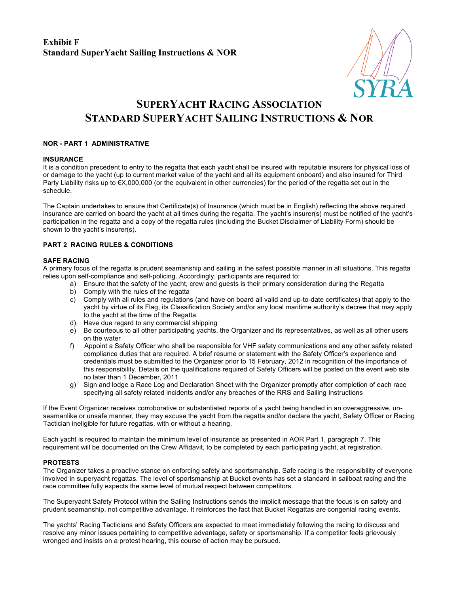# **SUPERYACHT RACING ASSOCIATION STANDARD SUPERYACHT SAILING INSTRUCTIONS & NOR**

# **NOR - PART 1 ADMINISTRATIVE**

## **INSURANCE**

It is a condition precedent to entry to the regatta that each yacht shall be insured with reputable insurers for physical loss of or damage to the yacht (up to current market value of the yacht and all its equipment onboard) and also insured for Third Party Liability risks up to €X,000,000 (or the equivalent in other currencies) for the period of the regatta set out in the schedule.

The Captain undertakes to ensure that Certificate(s) of Insurance (which must be in English) reflecting the above required insurance are carried on board the yacht at all times during the regatta. The yacht's insurer(s) must be notified of the yacht's participation in the regatta and a copy of the regatta rules (including the Bucket Disclaimer of Liability Form) should be shown to the yacht's insurer(s).

# **PART 2 RACING RULES & CONDITIONS**

## **SAFE RACING**

A primary focus of the regatta is prudent seamanship and sailing in the safest possible manner in all situations. This regatta relies upon self-compliance and self-policing. Accordingly, participants are required to:

- a) Ensure that the safety of the yacht, crew and guests is their primary consideration during the Regatta
- b) Comply with the rules of the regatta
- c) Comply with all rules and regulations (and have on board all valid and up-to-date certificates) that apply to the yacht by virtue of its Flag, its Classification Society and/or any local maritime authority's decree that may apply to the yacht at the time of the Regatta
- d) Have due regard to any commercial shipping
- e) Be courteous to all other participating yachts, the Organizer and its representatives, as well as all other users on the water
- f) Appoint a Safety Officer who shall be responsible for VHF safety communications and any other safety related compliance duties that are required. A brief resume or statement with the Safety Officer's experience and credentials must be submitted to the Organizer prior to 15 February, 2012 in recognition of the importance of this responsibility. Details on the qualifications required of Safety Officers will be posted on the event web site no later than 1 December, 2011
- g) Sign and lodge a Race Log and Declaration Sheet with the Organizer promptly after completion of each race specifying all safety related incidents and/or any breaches of the RRS and Sailing Instructions

If the Event Organizer receives corroborative or substantiated reports of a yacht being handled in an overaggressive, unseamanlike or unsafe manner, they may excuse the yacht from the regatta and/or declare the yacht, Safety Officer or Racing Tactician ineligible for future regattas, with or without a hearing.

Each yacht is required to maintain the minimum level of insurance as presented in AOR Part 1, paragraph 7, This requirement will be documented on the Crew Affidavit, to be completed by each participating yacht, at registration.

# **PROTESTS**

The Organizer takes a proactive stance on enforcing safety and sportsmanship. Safe racing is the responsibility of everyone involved in superyacht regattas. The level of sportsmanship at Bucket events has set a standard in sailboat racing and the race committee fully expects the same level of mutual respect between competitors.

The Superyacht Safety Protocol within the Sailing Instructions sends the implicit message that the focus is on safety and prudent seamanship, not competitive advantage. It reinforces the fact that Bucket Regattas are congenial racing events.

The yachts' Racing Tacticians and Safety Officers are expected to meet immediately following the racing to discuss and resolve any minor issues pertaining to competitive advantage, safety or sportsmanship. If a competitor feels grievously wronged and insists on a protest hearing, this course of action may be pursued.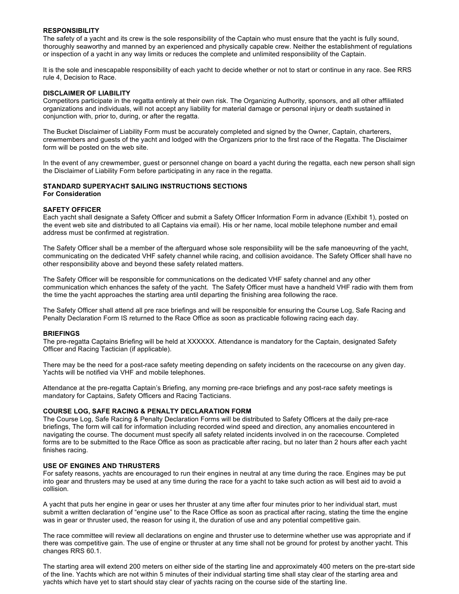## **RESPONSIBILITY**

The safety of a yacht and its crew is the sole responsibility of the Captain who must ensure that the yacht is fully sound, thoroughly seaworthy and manned by an experienced and physically capable crew. Neither the establishment of regulations or inspection of a yacht in any way limits or reduces the complete and unlimited responsibility of the Captain.

It is the sole and inescapable responsibility of each yacht to decide whether or not to start or continue in any race. See RRS rule 4, Decision to Race.

## **DISCLAIMER OF LIABILITY**

Competitors participate in the regatta entirely at their own risk. The Organizing Authority, sponsors, and all other affiliated organizations and individuals, will not accept any liability for material damage or personal injury or death sustained in conjunction with, prior to, during, or after the regatta.

The Bucket Disclaimer of Liability Form must be accurately completed and signed by the Owner, Captain, charterers, crewmembers and guests of the yacht and lodged with the Organizers prior to the first race of the Regatta. The Disclaimer form will be posted on the web site.

In the event of any crewmember, guest or personnel change on board a yacht during the regatta, each new person shall sign the Disclaimer of Liability Form before participating in any race in the regatta.

#### **STANDARD SUPERYACHT SAILING INSTRUCTIONS SECTIONS For Consideration**

#### **SAFETY OFFICER**

Each yacht shall designate a Safety Officer and submit a Safety Officer Information Form in advance (Exhibit 1), posted on the event web site and distributed to all Captains via email). His or her name, local mobile telephone number and email address must be confirmed at registration.

The Safety Officer shall be a member of the afterguard whose sole responsibility will be the safe manoeuvring of the yacht, communicating on the dedicated VHF safety channel while racing, and collision avoidance. The Safety Officer shall have no other responsibility above and beyond these safety related matters.

The Safety Officer will be responsible for communications on the dedicated VHF safety channel and any other communication which enhances the safety of the yacht. The Safety Officer must have a handheld VHF radio with them from the time the yacht approaches the starting area until departing the finishing area following the race.

The Safety Officer shall attend all pre race briefings and will be responsible for ensuring the Course Log, Safe Racing and Penalty Declaration Form IS returned to the Race Office as soon as practicable following racing each day.

#### **BRIEFINGS**

The pre-regatta Captains Briefing will be held at XXXXXX. Attendance is mandatory for the Captain, designated Safety Officer and Racing Tactician (if applicable).

There may be the need for a post-race safety meeting depending on safety incidents on the racecourse on any given day. Yachts will be notified via VHF and mobile telephones.

Attendance at the pre-regatta Captain's Briefing, any morning pre-race briefings and any post-race safety meetings is mandatory for Captains, Safety Officers and Racing Tacticians.

#### **COURSE LOG, SAFE RACING & PENALTY DECLARATION FORM**

The Course Log, Safe Racing & Penalty Declaration Forms will be distributed to Safety Officers at the daily pre-race briefings, The form will call for information including recorded wind speed and direction, any anomalies encountered in navigating the course. The document must specify all safety related incidents involved in on the racecourse. Completed forms are to be submitted to the Race Office as soon as practicable after racing, but no later than 2 hours after each yacht finishes racing.

## **USE OF ENGINES AND THRUSTERS**

For safety reasons, yachts are encouraged to run their engines in neutral at any time during the race. Engines may be put into gear and thrusters may be used at any time during the race for a yacht to take such action as will best aid to avoid a collision*.*

A yacht that puts her engine in gear or uses her thruster at any time after four minutes prior to her individual start, must submit a written declaration of "engine use" to the Race Office as soon as practical after racing, stating the time the engine was in gear or thruster used, the reason for using it, the duration of use and any potential competitive gain.

The race committee will review all declarations on engine and thruster use to determine whether use was appropriate and if there was competitive gain. The use of engine or thruster at any time shall not be ground for protest by another yacht. This changes RRS 60.1.

The starting area will extend 200 meters on either side of the starting line and approximately 400 meters on the pre-start side of the line. Yachts which are not within 5 minutes of their individual starting time shall stay clear of the starting area and yachts which have yet to start should stay clear of yachts racing on the course side of the starting line.